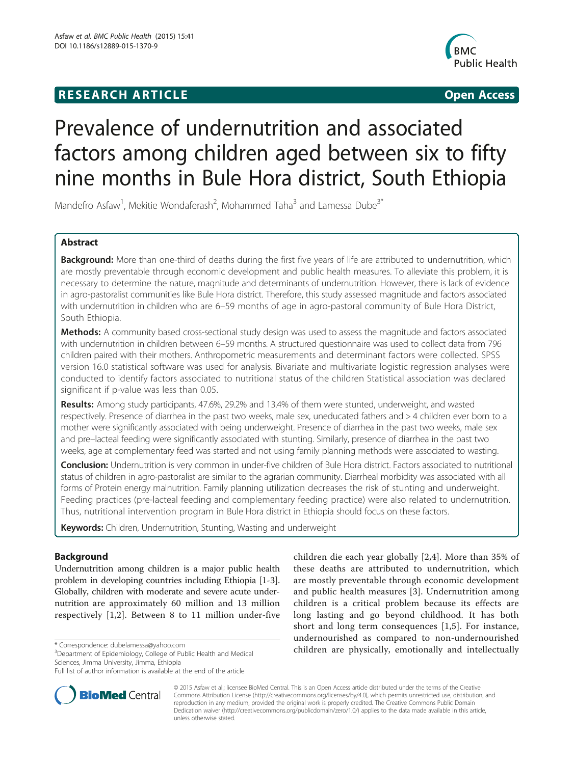## **RESEARCH ARTICLE Example 2014 12:30 The SEAR CHIPS 2014 12:30 The Open Access**



# Prevalence of undernutrition and associated factors among children aged between six to fifty nine months in Bule Hora district, South Ethiopia

Mandefro Asfaw<sup>1</sup>, Mekitie Wondaferash<sup>2</sup>, Mohammed Taha<sup>3</sup> and Lamessa Dube<sup>3\*</sup>

## Abstract

Background: More than one-third of deaths during the first five years of life are attributed to undernutrition, which are mostly preventable through economic development and public health measures. To alleviate this problem, it is necessary to determine the nature, magnitude and determinants of undernutrition. However, there is lack of evidence in agro-pastoralist communities like Bule Hora district. Therefore, this study assessed magnitude and factors associated with undernutrition in children who are 6–59 months of age in agro-pastoral community of Bule Hora District, South Ethiopia.

Methods: A community based cross-sectional study design was used to assess the magnitude and factors associated with undernutrition in children between 6–59 months. A structured questionnaire was used to collect data from 796 children paired with their mothers. Anthropometric measurements and determinant factors were collected. SPSS version 16.0 statistical software was used for analysis. Bivariate and multivariate logistic regression analyses were conducted to identify factors associated to nutritional status of the children Statistical association was declared significant if p-value was less than 0.05.

Results: Among study participants, 47.6%, 29.2% and 13.4% of them were stunted, underweight, and wasted respectively. Presence of diarrhea in the past two weeks, male sex, uneducated fathers and > 4 children ever born to a mother were significantly associated with being underweight. Presence of diarrhea in the past two weeks, male sex and pre–lacteal feeding were significantly associated with stunting. Similarly, presence of diarrhea in the past two weeks, age at complementary feed was started and not using family planning methods were associated to wasting.

Conclusion: Undernutrition is very common in under-five children of Bule Hora district. Factors associated to nutritional status of children in agro-pastoralist are similar to the agrarian community. Diarrheal morbidity was associated with all forms of Protein energy malnutrition. Family planning utilization decreases the risk of stunting and underweight. Feeding practices (pre-lacteal feeding and complementary feeding practice) were also related to undernutrition. Thus, nutritional intervention program in Bule Hora district in Ethiopia should focus on these factors.

Keywords: Children, Undernutrition, Stunting, Wasting and underweight

## Background

Undernutrition among children is a major public health problem in developing countries including Ethiopia [\[1](#page-8-0)-[3](#page-8-0)]. Globally, children with moderate and severe acute undernutrition are approximately 60 million and 13 million respectively [[1,2](#page-8-0)]. Between 8 to 11 million under-five

<sup>3</sup>Department of Epidemiology, College of Public Health and Medical Sciences, Jimma University, Jimma, Ethiopia

Full list of author information is available at the end of the article



children die each year globally [[2,4](#page-8-0)]. More than 35% of these deaths are attributed to undernutrition, which are mostly preventable through economic development and public health measures [\[3](#page-8-0)]. Undernutrition among children is a critical problem because its effects are long lasting and go beyond childhood. It has both short and long term consequences [\[1](#page-8-0),[5\]](#page-8-0). For instance, undernourished as compared to non-undernourished \* Correspondence: [dubelamessa@yahoo.com](mailto:dubelamessa@yahoo.com) **are children are physically, emotionally and intellectually**<br><sup>3</sup> Department of Foidemiology College of Public Health and Medical **children are physically, emotionally and intellectu** 

> © 2015 Asfaw et al.; licensee BioMed Central. This is an Open Access article distributed under the terms of the Creative Commons Attribution License [\(http://creativecommons.org/licenses/by/4.0\)](http://creativecommons.org/licenses/by/4.0), which permits unrestricted use, distribution, and reproduction in any medium, provided the original work is properly credited. The Creative Commons Public Domain Dedication waiver [\(http://creativecommons.org/publicdomain/zero/1.0/](http://creativecommons.org/publicdomain/zero/1.0/)) applies to the data made available in this article, unless otherwise stated.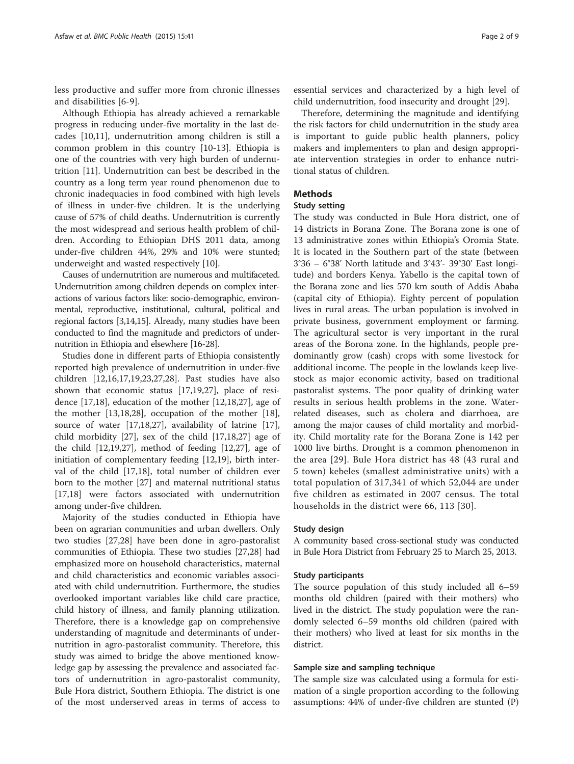less productive and suffer more from chronic illnesses and disabilities [[6-9\]](#page-8-0).

Although Ethiopia has already achieved a remarkable progress in reducing under-five mortality in the last decades [[10,11\]](#page-8-0), undernutrition among children is still a common problem in this country [\[10](#page-8-0)-[13](#page-8-0)]. Ethiopia is one of the countries with very high burden of undernutrition [[11\]](#page-8-0). Undernutrition can best be described in the country as a long term year round phenomenon due to chronic inadequacies in food combined with high levels of illness in under-five children. It is the underlying cause of 57% of child deaths. Undernutrition is currently the most widespread and serious health problem of children. According to Ethiopian DHS 2011 data, among under-five children 44%, 29% and 10% were stunted; underweight and wasted respectively [\[10\]](#page-8-0).

Causes of undernutrition are numerous and multifaceted. Undernutrition among children depends on complex interactions of various factors like: socio-demographic, environmental, reproductive, institutional, cultural, political and regional factors [[3,14,15](#page-8-0)]. Already, many studies have been conducted to find the magnitude and predictors of undernutrition in Ethiopia and elsewhere [\[16-28\]](#page-8-0).

Studies done in different parts of Ethiopia consistently reported high prevalence of undernutrition in under-five children [\[12,16,17,19,23,27,28](#page-8-0)]. Past studies have also shown that economic status [[17,19,27\]](#page-8-0), place of residence [[17,18\]](#page-8-0), education of the mother [[12](#page-8-0),[18](#page-8-0),[27](#page-8-0)], age of the mother [[13,18,28](#page-8-0)], occupation of the mother [\[18](#page-8-0)], source of water [[17,18,27](#page-8-0)], availability of latrine [\[17](#page-8-0)], child morbidity [[27\]](#page-8-0), sex of the child [\[17,18,27\]](#page-8-0) age of the child [\[12,19,27](#page-8-0)], method of feeding [\[12,27](#page-8-0)], age of initiation of complementary feeding [\[12,19](#page-8-0)], birth interval of the child [\[17,18\]](#page-8-0), total number of children ever born to the mother [[27\]](#page-8-0) and maternal nutritional status [[17,18\]](#page-8-0) were factors associated with undernutrition among under-five children.

Majority of the studies conducted in Ethiopia have been on agrarian communities and urban dwellers. Only two studies [[27](#page-8-0),[28](#page-8-0)] have been done in agro-pastoralist communities of Ethiopia. These two studies [[27,28\]](#page-8-0) had emphasized more on household characteristics, maternal and child characteristics and economic variables associated with child undernutrition. Furthermore, the studies overlooked important variables like child care practice, child history of illness, and family planning utilization. Therefore, there is a knowledge gap on comprehensive understanding of magnitude and determinants of undernutrition in agro-pastoralist community. Therefore, this study was aimed to bridge the above mentioned knowledge gap by assessing the prevalence and associated factors of undernutrition in agro-pastoralist community, Bule Hora district, Southern Ethiopia. The district is one of the most underserved areas in terms of access to

essential services and characterized by a high level of child undernutrition, food insecurity and drought [[29\]](#page-8-0).

Therefore, determining the magnitude and identifying the risk factors for child undernutrition in the study area is important to guide public health planners, policy makers and implementers to plan and design appropriate intervention strategies in order to enhance nutritional status of children.

## Methods

## Study setting

The study was conducted in Bule Hora district, one of 14 districts in Borana Zone. The Borana zone is one of 13 administrative zones within Ethiopia's Oromia State. It is located in the Southern part of the state (between 3°36 – 6°38' North latitude and 3°43'- 39°30' East longitude) and borders Kenya. Yabello is the capital town of the Borana zone and lies 570 km south of Addis Ababa (capital city of Ethiopia). Eighty percent of population lives in rural areas. The urban population is involved in private business, government employment or farming. The agricultural sector is very important in the rural areas of the Borona zone. In the highlands, people predominantly grow (cash) crops with some livestock for additional income. The people in the lowlands keep livestock as major economic activity, based on traditional pastoralist systems. The poor quality of drinking water results in serious health problems in the zone. Waterrelated diseases, such as cholera and diarrhoea, are among the major causes of child mortality and morbidity. Child mortality rate for the Borana Zone is 142 per 1000 live births. Drought is a common phenomenon in the area [\[29\]](#page-8-0). Bule Hora district has 48 (43 rural and 5 town) kebeles (smallest administrative units) with a total population of 317,341 of which 52,044 are under five children as estimated in 2007 census. The total households in the district were 66, 113 [[30\]](#page-8-0).

## Study design

A community based cross-sectional study was conducted in Bule Hora District from February 25 to March 25, 2013.

## Study participants

The source population of this study included all 6–59 months old children (paired with their mothers) who lived in the district. The study population were the randomly selected 6–59 months old children (paired with their mothers) who lived at least for six months in the district.

## Sample size and sampling technique

The sample size was calculated using a formula for estimation of a single proportion according to the following assumptions: 44% of under-five children are stunted (P)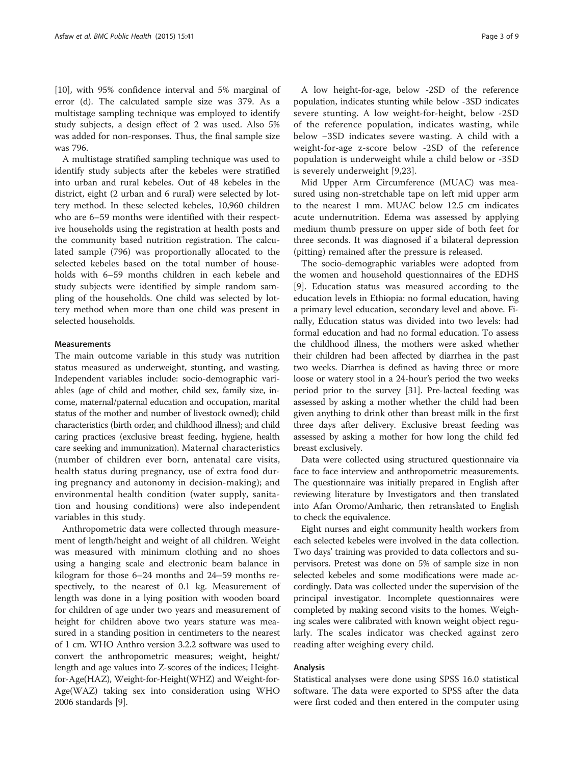[[10\]](#page-8-0), with 95% confidence interval and 5% marginal of error (d). The calculated sample size was 379. As a multistage sampling technique was employed to identify study subjects, a design effect of 2 was used. Also 5% was added for non-responses. Thus, the final sample size was 796.

A multistage stratified sampling technique was used to identify study subjects after the kebeles were stratified into urban and rural kebeles. Out of 48 kebeles in the district, eight (2 urban and 6 rural) were selected by lottery method. In these selected kebeles, 10,960 children who are 6–59 months were identified with their respective households using the registration at health posts and the community based nutrition registration. The calculated sample (796) was proportionally allocated to the selected kebeles based on the total number of households with 6–59 months children in each kebele and study subjects were identified by simple random sampling of the households. One child was selected by lottery method when more than one child was present in selected households.

### **Measurements**

The main outcome variable in this study was nutrition status measured as underweight, stunting, and wasting. Independent variables include: socio-demographic variables (age of child and mother, child sex, family size, income, maternal/paternal education and occupation, marital status of the mother and number of livestock owned); child characteristics (birth order, and childhood illness); and child caring practices (exclusive breast feeding, hygiene, health care seeking and immunization). Maternal characteristics (number of children ever born, antenatal care visits, health status during pregnancy, use of extra food during pregnancy and autonomy in decision-making); and environmental health condition (water supply, sanitation and housing conditions) were also independent variables in this study.

Anthropometric data were collected through measurement of length/height and weight of all children. Weight was measured with minimum clothing and no shoes using a hanging scale and electronic beam balance in kilogram for those 6–24 months and 24–59 months respectively, to the nearest of 0.1 kg. Measurement of length was done in a lying position with wooden board for children of age under two years and measurement of height for children above two years stature was measured in a standing position in centimeters to the nearest of 1 cm. WHO Anthro version 3.2.2 software was used to convert the anthropometric measures; weight, height/ length and age values into Z-scores of the indices; Heightfor-Age(HAZ), Weight-for-Height(WHZ) and Weight-for-Age(WAZ) taking sex into consideration using WHO 2006 standards [[9](#page-8-0)].

A low height-for-age, below -2SD of the reference population, indicates stunting while below -3SD indicates severe stunting. A low weight-for-height, below -2SD of the reference population, indicates wasting, while below −3SD indicates severe wasting. A child with a weight-for-age z-score below -2SD of the reference population is underweight while a child below or -3SD is severely underweight [[9,23](#page-8-0)].

Mid Upper Arm Circumference (MUAC) was measured using non-stretchable tape on left mid upper arm to the nearest 1 mm. MUAC below 12.5 cm indicates acute undernutrition. Edema was assessed by applying medium thumb pressure on upper side of both feet for three seconds. It was diagnosed if a bilateral depression (pitting) remained after the pressure is released.

The socio-demographic variables were adopted from the women and household questionnaires of the EDHS [[9\]](#page-8-0). Education status was measured according to the education levels in Ethiopia: no formal education, having a primary level education, secondary level and above. Finally, Education status was divided into two levels: had formal education and had no formal education. To assess the childhood illness, the mothers were asked whether their children had been affected by diarrhea in the past two weeks. Diarrhea is defined as having three or more loose or watery stool in a 24-hour's period the two weeks period prior to the survey [[31](#page-8-0)]. Pre-lacteal feeding was assessed by asking a mother whether the child had been given anything to drink other than breast milk in the first three days after delivery. Exclusive breast feeding was assessed by asking a mother for how long the child fed breast exclusively.

Data were collected using structured questionnaire via face to face interview and anthropometric measurements. The questionnaire was initially prepared in English after reviewing literature by Investigators and then translated into Afan Oromo/Amharic, then retranslated to English to check the equivalence.

Eight nurses and eight community health workers from each selected kebeles were involved in the data collection. Two days' training was provided to data collectors and supervisors. Pretest was done on 5% of sample size in non selected kebeles and some modifications were made accordingly. Data was collected under the supervision of the principal investigator. Incomplete questionnaires were completed by making second visits to the homes. Weighing scales were calibrated with known weight object regularly. The scales indicator was checked against zero reading after weighing every child.

#### Analysis

Statistical analyses were done using SPSS 16.0 statistical software. The data were exported to SPSS after the data were first coded and then entered in the computer using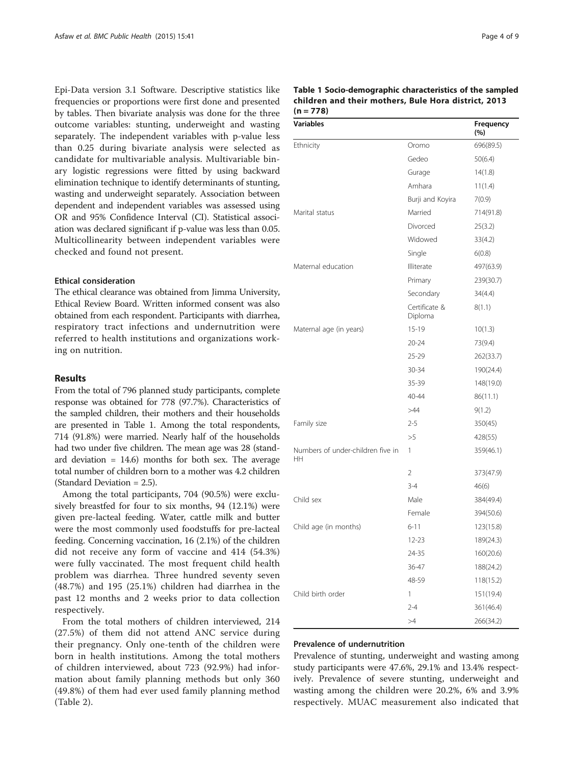Epi-Data version 3.1 Software. Descriptive statistics like frequencies or proportions were first done and presented by tables. Then bivariate analysis was done for the three outcome variables: stunting, underweight and wasting separately. The independent variables with p-value less than 0.25 during bivariate analysis were selected as candidate for multivariable analysis. Multivariable binary logistic regressions were fitted by using backward elimination technique to identify determinants of stunting, wasting and underweight separately. Association between dependent and independent variables was assessed using OR and 95% Confidence Interval (CI). Statistical association was declared significant if p-value was less than 0.05. Multicollinearity between independent variables were checked and found not present.

## Ethical consideration

The ethical clearance was obtained from Jimma University, Ethical Review Board. Written informed consent was also obtained from each respondent. Participants with diarrhea, respiratory tract infections and undernutrition were referred to health institutions and organizations working on nutrition.

## Results

From the total of 796 planned study participants, complete response was obtained for 778 (97.7%). Characteristics of the sampled children, their mothers and their households are presented in Table 1. Among the total respondents, 714 (91.8%) were married. Nearly half of the households had two under five children. The mean age was 28 (standard deviation = 14.6) months for both sex. The average total number of children born to a mother was 4.2 children (Standard Deviation = 2.5).

Among the total participants, 704 (90.5%) were exclusively breastfed for four to six months, 94 (12.1%) were given pre-lacteal feeding. Water, cattle milk and butter were the most commonly used foodstuffs for pre-lacteal feeding. Concerning vaccination, 16 (2.1%) of the children did not receive any form of vaccine and 414 (54.3%) were fully vaccinated. The most frequent child health problem was diarrhea. Three hundred seventy seven (48.7%) and 195 (25.1%) children had diarrhea in the past 12 months and 2 weeks prior to data collection respectively.

From the total mothers of children interviewed, 214 (27.5%) of them did not attend ANC service during their pregnancy. Only one-tenth of the children were born in health institutions. Among the total mothers of children interviewed, about 723 (92.9%) had information about family planning methods but only 360 (49.8%) of them had ever used family planning method (Table [2\)](#page-4-0).

| Table 1 Socio-demographic characteristics of the sampled |  |
|----------------------------------------------------------|--|
| children and their mothers, Bule Hora district, 2013     |  |
| $(n = 778)$                                              |  |

| <b>Variables</b>                               |                          | Frequency<br>(%) |
|------------------------------------------------|--------------------------|------------------|
| Ethnicity                                      | Oromo                    | 696(89.5)        |
|                                                | Gedeo                    | 50(6.4)          |
|                                                | Gurage                   | 14(1.8)          |
|                                                | Amhara                   | 11(1.4)          |
|                                                | Burji and Koyira         | 7(0.9)           |
| Marital status                                 | Married                  | 714(91.8)        |
|                                                | Divorced                 | 25(3.2)          |
|                                                | Widowed                  | 33(4.2)          |
|                                                | Single                   | 6(0.8)           |
| Maternal education                             | Illiterate               | 497(63.9)        |
|                                                | Primary                  | 239(30.7)        |
|                                                | Secondary                | 34(4.4)          |
|                                                | Certificate &<br>Diploma | 8(1.1)           |
| Maternal age (in years)                        | $15-19$                  | 10(1.3)          |
|                                                | $20 - 24$                | 73(9.4)          |
|                                                | 25-29                    | 262(33.7)        |
|                                                | 30-34                    | 190(24.4)        |
|                                                | 35-39                    | 148(19.0)        |
|                                                | 40-44                    | 86(11.1)         |
|                                                | >44                      | 9(1.2)           |
| Family size                                    | $2 - 5$                  | 350(45)          |
|                                                | >5                       | 428(55)          |
| Numbers of under-children five in<br><b>HH</b> | 1                        | 359(46.1)        |
|                                                | 2                        | 373(47.9)        |
|                                                | $3 - 4$                  | 46(6)            |
| Child sex                                      | Male                     | 384(49.4)        |
|                                                | Female                   | 394(50.6)        |
| Child age (in months)                          | $6 - 11$                 | 123(15.8)        |
|                                                | 12-23                    | 189(24.3)        |
|                                                | 24-35                    | 160(20.6)        |
|                                                | 36-47                    | 188(24.2)        |
|                                                | 48-59                    | 118(15.2)        |
| Child birth order                              | 1                        | 151(19.4)        |
|                                                | $2 - 4$                  | 361(46.4)        |
|                                                | >4                       | 266(34.2)        |

## Prevalence of undernutrition

Prevalence of stunting, underweight and wasting among study participants were 47.6%, 29.1% and 13.4% respectively. Prevalence of severe stunting, underweight and wasting among the children were 20.2%, 6% and 3.9% respectively. MUAC measurement also indicated that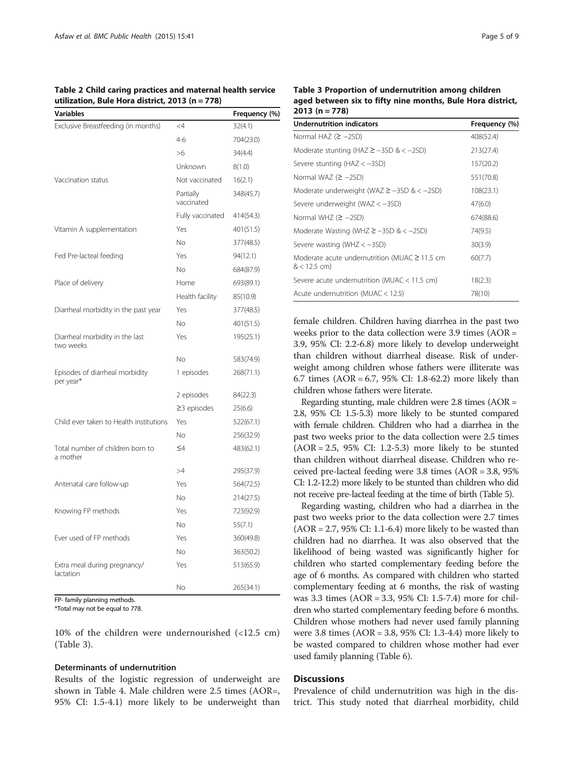<span id="page-4-0"></span>Table 2 Child caring practices and maternal health service utilization, Bule Hora district, 2013 (n = 778)

| <b>Variables</b>                             |                         | Frequency (%) |
|----------------------------------------------|-------------------------|---------------|
| Exclusive Breastfeeding (in months)          | $\leq$ 4                | 32(4.1)       |
|                                              | $4-6$                   | 704(23.0)     |
|                                              | >6                      | 34(4.4)       |
|                                              | Unknown                 | 8(1.0)        |
| Vaccination status                           | Not vaccinated          | 16(2.1)       |
|                                              | Partially<br>vaccinated | 348(45.7)     |
|                                              | Fully vaccinated        | 414(54.3)     |
| Vitamin A supplementation                    | Yes                     | 401(51.5)     |
|                                              | No.                     | 377(48.5)     |
| Fed Pre-lacteal feeding                      | Yes                     | 94(12.1)      |
|                                              | No.                     | 684(87.9)     |
| Place of delivery                            | Home                    | 693(89.1)     |
|                                              | Health facility         | 85(10.9)      |
| Diarrheal morbidity in the past year         | Yes                     | 377(48.5)     |
|                                              | Νo                      | 401(51.5)     |
| Diarrheal morbidity in the last<br>two weeks | Yes                     | 195(25.1)     |
|                                              | Nο                      | 583(74.9)     |
| Episodes of diarrheal morbidity<br>per year* | 1 episodes              | 268(71.1)     |
|                                              | 2 episodes              | 84(22.3)      |
|                                              | $\geq$ 3 episodes       | 25(6.6)       |
| Child ever taken to Health institutions      | Yes                     | 522(67.1)     |
|                                              | Νo                      | 256(32.9)     |
| Total number of children born to<br>a mother | $\leq 4$                | 483(62.1)     |
|                                              | >4                      | 295(37.9)     |
| Antenatal care follow-up                     | Yes                     | 564(72.5)     |
|                                              | No.                     | 214(27.5)     |
| Knowing FP methods                           | Yes                     | 723(92.9)     |
|                                              | No.                     | 55(7.1)       |
| Ever used of FP methods                      | Yes                     | 360(49.8)     |
|                                              | No.                     | 363(50.2)     |
| Extra meal during pregnancy/<br>lactation    | Yes                     | 513(65.9)     |
|                                              | Nο                      | 265(34.1)     |

FP- family planning methods.

\*Total may not be equal to 778.

10% of the children were undernourished (<12.5 cm) (Table 3).

#### Determinants of undernutrition

Results of the logistic regression of underweight are shown in Table [4.](#page-5-0) Male children were 2.5 times (AOR=, 95% CI: 1.5-4.1) more likely to be underweight than

| Table 3 Proportion of undernutrition among children        |  |
|------------------------------------------------------------|--|
| aged between six to fifty nine months, Bule Hora district, |  |
| $2013(n=778)$                                              |  |

| <b>Undernutrition indicators</b>                                   | Frequency (%) |
|--------------------------------------------------------------------|---------------|
| Normal HAZ $(≥ -2SD)$                                              | 408(52.4)     |
| Moderate stunting (HAZ $\ge$ -3SD & < -2SD)                        | 213(27.4)     |
| Severe stunting ( $HAZ < -3SD$ )                                   | 157(20.2)     |
| Normal WAZ $(2 - 2SD)$                                             | 551(70.8)     |
| Moderate underweight (WAZ $\ge$ -3SD & < -2SD)                     | 108(23.1)     |
| Severe underweight (WAZ < -3SD)                                    | 47(6.0)       |
| Normal WHZ $(2 - 2SD)$                                             | 674(88.6)     |
| Moderate Wasting (WHZ $\ge$ -3SD & < -2SD)                         | 74(9.5)       |
| Severe wasting (WHZ $<-3SD$ )                                      | 30(3.9)       |
| Moderate acute undernutrition (MUAC $\geq$ 11.5 cm<br>$<$ 12.5 cm) | 60(7.7)       |
| Severe acute undernutrition (MUAC $<$ 11.5 cm)                     | 18(2.3)       |
| Acute undernutrition ( $MUAC < 12.5$ )                             | 78(10)        |

female children. Children having diarrhea in the past two weeks prior to the data collection were 3.9 times (AOR = 3.9, 95% CI: 2.2-6.8) more likely to develop underweight than children without diarrheal disease. Risk of underweight among children whose fathers were illiterate was 6.7 times (AOR = 6.7, 95% CI: 1.8-62.2) more likely than children whose fathers were literate.

Regarding stunting, male children were 2.8 times (AOR = 2.8, 95% CI: 1.5-5.3) more likely to be stunted compared with female children. Children who had a diarrhea in the past two weeks prior to the data collection were 2.5 times (AOR = 2.5, 95% CI: 1.2-5.3) more likely to be stunted than children without diarrheal disease. Children who received pre-lacteal feeding were 3.8 times (AOR = 3.8, 95% CI: 1.2-12.2) more likely to be stunted than children who did not receive pre-lacteal feeding at the time of birth (Table [5](#page-5-0)).

Regarding wasting, children who had a diarrhea in the past two weeks prior to the data collection were 2.7 times  $(AOR = 2.7, 95\% CI: 1.1-6.4)$  more likely to be wasted than children had no diarrhea. It was also observed that the likelihood of being wasted was significantly higher for children who started complementary feeding before the age of 6 months. As compared with children who started complementary feeding at 6 months, the risk of wasting was 3.3 times (AOR = 3.3, 95% CI: 1.5-7.4) more for children who started complementary feeding before 6 months. Children whose mothers had never used family planning were 3.8 times (AOR = 3.8, 95% CI: 1.3-4.4) more likely to be wasted compared to children whose mother had ever used family planning (Table [6\)](#page-6-0).

## **Discussions**

Prevalence of child undernutrition was high in the district. This study noted that diarrheal morbidity, child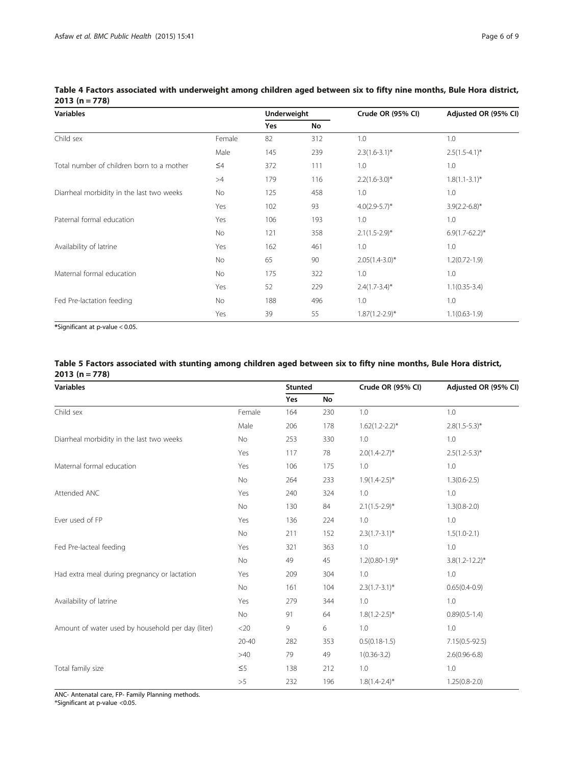| <b>Variables</b>                          |           | Underweight |     | Crude OR (95% CI)   | Adjusted OR (95% CI) |  |
|-------------------------------------------|-----------|-------------|-----|---------------------|----------------------|--|
|                                           |           | Yes         | No  |                     |                      |  |
| Child sex                                 | Female    | 82          | 312 | 1.0                 | 1.0                  |  |
|                                           | Male      | 145         | 239 | $2.3(1.6-3.1)^*$    | $2.5(1.5-4.1)^{*}$   |  |
| Total number of children born to a mother | $\leq 4$  | 372         | 111 | 1.0                 | 1.0                  |  |
|                                           | >4        | 179         | 116 | $2.2(1.6 - 3.0)^*$  | $1.8(1.1 - 3.1)^*$   |  |
| Diarrheal morbidity in the last two weeks | No        | 125         | 458 | 1.0                 | 1.0                  |  |
|                                           | Yes       | 102         | 93  | $4.0(2.9-5.7)$ *    | $3.9(2.2 - 6.8)$ *   |  |
| Paternal formal education                 | Yes       | 106         | 193 | 1.0                 | 1.0                  |  |
|                                           | <b>No</b> | 121         | 358 | $2.1(1.5-2.9)$ *    | $6.9(1.7-62.2)^*$    |  |
| Availability of latrine                   | Yes       | 162         | 461 | 1.0                 | 1.0                  |  |
|                                           | No        | 65          | 90  | $2.05(1.4-3.0)$ *   | $1.2(0.72 - 1.9)$    |  |
| Maternal formal education                 | <b>No</b> | 175         | 322 | 1.0                 | 1.0                  |  |
|                                           | Yes       | 52          | 229 | $2.4(1.7-3.4)^*$    | $1.1(0.35-3.4)$      |  |
| Fed Pre-lactation feeding                 | <b>No</b> | 188         | 496 | 1.0                 | 1.0                  |  |
|                                           | Yes       | 39          | 55  | $1.87(1.2 - 2.9)$ * | $1.1(0.63-1.9)$      |  |

<span id="page-5-0"></span>Table 4 Factors associated with underweight among children aged between six to fifty nine months, Bule Hora district, 2013 (n = 778)

\*Significant at p-value < 0.05.

## Table 5 Factors associated with stunting among children aged between six to fifty nine months, Bule Hora district, 2013 (n = 778)

| <b>Variables</b>                                  |           | <b>Stunted</b> |     | Crude OR (95% CI)   | Adjusted OR (95% CI) |  |
|---------------------------------------------------|-----------|----------------|-----|---------------------|----------------------|--|
|                                                   |           | Yes            | No  |                     |                      |  |
| Child sex                                         | Female    | 164            | 230 | 1.0                 | 1.0                  |  |
|                                                   | Male      | 206            | 178 | $1.62(1.2 - 2.2)^*$ | $2.8(1.5-5.3)$ *     |  |
| Diarrheal morbidity in the last two weeks         | No        | 253            | 330 | 1.0                 | 1.0                  |  |
|                                                   | Yes       | 117            | 78  | $2.0(1.4-2.7)^*$    | $2.5(1.2-5.3)^*$     |  |
| Maternal formal education                         | Yes       | 106            | 175 | 1.0                 | 1.0                  |  |
|                                                   | No        | 264            | 233 | $1.9(1.4-2.5)^{*}$  | $1.3(0.6-2.5)$       |  |
| Attended ANC                                      | Yes       | 240            | 324 | 1.0                 | 1.0                  |  |
|                                                   | No        | 130            | 84  | $2.1(1.5-2.9)^*$    | $1.3(0.8-2.0)$       |  |
| Ever used of FP                                   | Yes       | 136            | 224 | 1.0                 | 1.0                  |  |
|                                                   | No        | 211            | 152 | $2.3(1.7-3.1)^{*}$  | $1.5(1.0-2.1)$       |  |
| Fed Pre-lacteal feeding                           | Yes       | 321            | 363 | 1.0                 | 1.0                  |  |
|                                                   | No        | 49             | 45  | $1.2(0.80 - 1.9)*$  | $3.8(1.2 - 12.2)^*$  |  |
| Had extra meal during pregnancy or lactation      | Yes       | 209            | 304 | 1.0                 | 1.0                  |  |
|                                                   | No        | 161            | 104 | $2.3(1.7-3.1)^{*}$  | $0.65(0.4-0.9)$      |  |
| Availability of latrine                           | Yes       | 279            | 344 | 1.0                 | 1.0                  |  |
|                                                   | No        | 91             | 64  | $1.8(1.2 - 2.5)^*$  | $0.89(0.5-1.4)$      |  |
| Amount of water used by household per day (liter) | $<$ 20    | 9              | 6   | 1.0                 | 1.0                  |  |
|                                                   | $20 - 40$ | 282            | 353 | $0.5(0.18-1.5)$     | $7.15(0.5 - 92.5)$   |  |
|                                                   | >40       | 79             | 49  | $1(0.36 - 3.2)$     | $2.6(0.96 - 6.8)$    |  |
| Total family size                                 | $\leq 5$  | 138            | 212 | 1.0                 | 1.0                  |  |
|                                                   | >5        | 232            | 196 | $1.8(1.4 - 2.4)^*$  | $1.25(0.8-2.0)$      |  |

ANC- Antenatal care, FP- Family Planning methods.

\*Significant at p-value <0.05.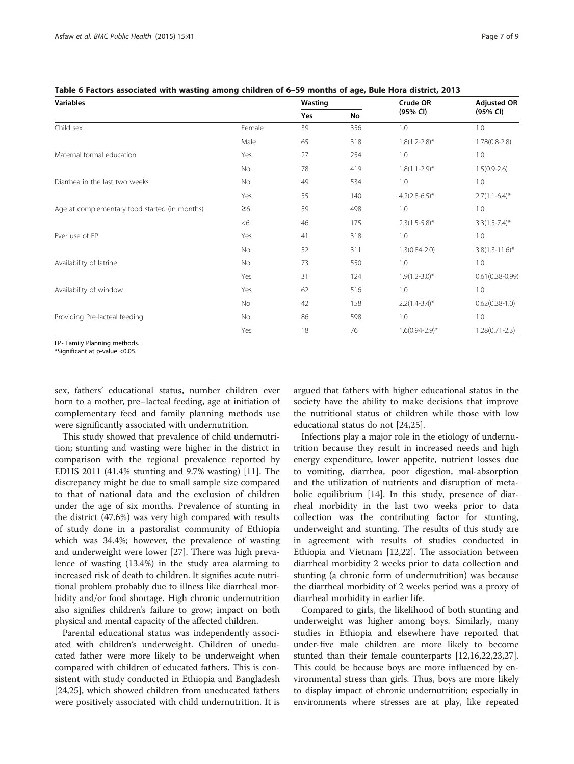<span id="page-6-0"></span>

|  | Table 6 Factors associated with wasting among children of 6–59 months of age, Bule Hora district, 2013 |
|--|--------------------------------------------------------------------------------------------------------|
|--|--------------------------------------------------------------------------------------------------------|

| <b>Variables</b>                              |          | Wasting |     | Crude OR           | <b>Adjusted OR</b>  |  |
|-----------------------------------------------|----------|---------|-----|--------------------|---------------------|--|
|                                               |          | Yes     | No  | (95% CI)           | (95% CI)            |  |
| Child sex                                     | Female   | 39      | 356 | 1.0                | 1.0                 |  |
|                                               | Male     | 65      | 318 | $1.8(1.2 - 2.8)$ * | $1.78(0.8-2.8)$     |  |
| Maternal formal education                     | Yes      | 27      | 254 | 1.0                | 1.0                 |  |
|                                               | No       | 78      | 419 | $1.8(1.1-2.9)$ *   | $1.5(0.9-2.6)$      |  |
| Diarrhea in the last two weeks                | No       | 49      | 534 | 1.0                | 1.0                 |  |
|                                               | Yes      | 55      | 140 | $4.2(2.8-6.5)^*$   | $2.7(1.1-6.4)^{*}$  |  |
| Age at complementary food started (in months) | $\geq 6$ | 59      | 498 | 1.0                | 1.0                 |  |
|                                               | <6       | 46      | 175 | $2.3(1.5-5.8)^*$   | $3.3(1.5-7.4)^{*}$  |  |
| Ever use of FP                                | Yes      | 41      | 318 | 1.0                | 1.0                 |  |
|                                               | No       | 52      | 311 | $1.3(0.84 - 2.0)$  | $3.8(1.3 - 11.6)^*$ |  |
| Availability of latrine                       | No       | 73      | 550 | 1.0                | 1.0                 |  |
|                                               | Yes      | 31      | 124 | $1.9(1.2 - 3.0)^*$ | $0.61(0.38 - 0.99)$ |  |
| Availability of window                        | Yes      | 62      | 516 | 1.0                | 1.0                 |  |
|                                               | No       | 42      | 158 | $2.2(1.4-3.4)^{*}$ | $0.62(0.38-1.0)$    |  |
| Providing Pre-lacteal feeding                 | No       | 86      | 598 | 1.0                | 1.0                 |  |
|                                               | Yes      | 18      | 76  | $1.6(0.94 - 2.9)*$ | $1.28(0.71 - 2.3)$  |  |

FP- Family Planning methods.

\*Significant at p-value <0.05.

sex, fathers' educational status, number children ever born to a mother, pre–lacteal feeding, age at initiation of complementary feed and family planning methods use were significantly associated with undernutrition.

This study showed that prevalence of child undernutrition; stunting and wasting were higher in the district in comparison with the regional prevalence reported by EDHS 2011 (41.4% stunting and 9.7% wasting) [[11\]](#page-8-0). The discrepancy might be due to small sample size compared to that of national data and the exclusion of children under the age of six months. Prevalence of stunting in the district (47.6%) was very high compared with results of study done in a pastoralist community of Ethiopia which was 34.4%; however, the prevalence of wasting and underweight were lower [\[27\]](#page-8-0). There was high prevalence of wasting (13.4%) in the study area alarming to increased risk of death to children. It signifies acute nutritional problem probably due to illness like diarrheal morbidity and/or food shortage. High chronic undernutrition also signifies children's failure to grow; impact on both physical and mental capacity of the affected children.

Parental educational status was independently associated with children's underweight. Children of uneducated father were more likely to be underweight when compared with children of educated fathers. This is consistent with study conducted in Ethiopia and Bangladesh [[24,25\]](#page-8-0), which showed children from uneducated fathers were positively associated with child undernutrition. It is argued that fathers with higher educational status in the society have the ability to make decisions that improve the nutritional status of children while those with low educational status do not [\[24,25](#page-8-0)].

Infections play a major role in the etiology of undernutrition because they result in increased needs and high energy expenditure, lower appetite, nutrient losses due to vomiting, diarrhea, poor digestion, mal-absorption and the utilization of nutrients and disruption of metabolic equilibrium [[14](#page-8-0)]. In this study, presence of diarrheal morbidity in the last two weeks prior to data collection was the contributing factor for stunting, underweight and stunting. The results of this study are in agreement with results of studies conducted in Ethiopia and Vietnam [\[12,22\]](#page-8-0). The association between diarrheal morbidity 2 weeks prior to data collection and stunting (a chronic form of undernutrition) was because the diarrheal morbidity of 2 weeks period was a proxy of diarrheal morbidity in earlier life.

Compared to girls, the likelihood of both stunting and underweight was higher among boys. Similarly, many studies in Ethiopia and elsewhere have reported that under-five male children are more likely to become stunted than their female counterparts [[12](#page-8-0),[16](#page-8-0),[22,23,27](#page-8-0)]. This could be because boys are more influenced by environmental stress than girls. Thus, boys are more likely to display impact of chronic undernutrition; especially in environments where stresses are at play, like repeated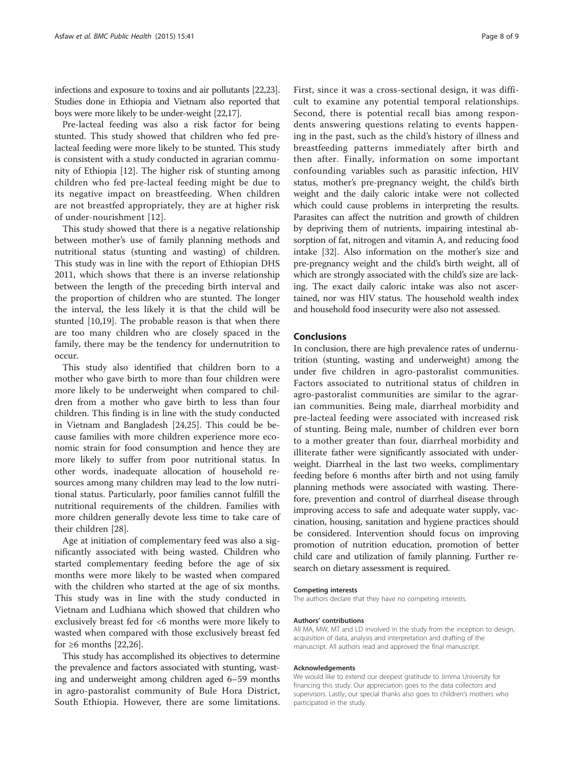infections and exposure to toxins and air pollutants [[22,23](#page-8-0)]. Studies done in Ethiopia and Vietnam also reported that boys were more likely to be under-weight [[22,17\]](#page-8-0).

Pre-lacteal feeding was also a risk factor for being stunted. This study showed that children who fed prelacteal feeding were more likely to be stunted. This study is consistent with a study conducted in agrarian community of Ethiopia [[12\]](#page-8-0). The higher risk of stunting among children who fed pre-lacteal feeding might be due to its negative impact on breastfeeding. When children are not breastfed appropriately, they are at higher risk of under-nourishment [\[12\]](#page-8-0).

This study showed that there is a negative relationship between mother's use of family planning methods and nutritional status (stunting and wasting) of children. This study was in line with the report of Ethiopian DHS 2011, which shows that there is an inverse relationship between the length of the preceding birth interval and the proportion of children who are stunted. The longer the interval, the less likely it is that the child will be stunted [[10,19\]](#page-8-0). The probable reason is that when there are too many children who are closely spaced in the family, there may be the tendency for undernutrition to occur.

This study also identified that children born to a mother who gave birth to more than four children were more likely to be underweight when compared to children from a mother who gave birth to less than four children. This finding is in line with the study conducted in Vietnam and Bangladesh [[24,25\]](#page-8-0). This could be because families with more children experience more economic strain for food consumption and hence they are more likely to suffer from poor nutritional status. In other words, inadequate allocation of household resources among many children may lead to the low nutritional status. Particularly, poor families cannot fulfill the nutritional requirements of the children. Families with more children generally devote less time to take care of their children [\[28](#page-8-0)].

Age at initiation of complementary feed was also a significantly associated with being wasted. Children who started complementary feeding before the age of six months were more likely to be wasted when compared with the children who started at the age of six months. This study was in line with the study conducted in Vietnam and Ludhiana which showed that children who exclusively breast fed for <6 months were more likely to wasted when compared with those exclusively breast fed for  $\geq 6$  months [[22](#page-8-0),[26](#page-8-0)].

This study has accomplished its objectives to determine the prevalence and factors associated with stunting, wasting and underweight among children aged 6–59 months in agro-pastoralist community of Bule Hora District, South Ethiopia. However, there are some limitations. First, since it was a cross-sectional design, it was difficult to examine any potential temporal relationships. Second, there is potential recall bias among respondents answering questions relating to events happening in the past, such as the child's history of illness and breastfeeding patterns immediately after birth and then after. Finally, information on some important confounding variables such as parasitic infection, HIV status, mother's pre-pregnancy weight, the child's birth weight and the daily caloric intake were not collected which could cause problems in interpreting the results. Parasites can affect the nutrition and growth of children by depriving them of nutrients, impairing intestinal absorption of fat, nitrogen and vitamin A, and reducing food intake [\[32\]](#page-8-0). Also information on the mother's size and pre-pregnancy weight and the child's birth weight, all of which are strongly associated with the child's size are lacking. The exact daily caloric intake was also not ascertained, nor was HIV status. The household wealth index and household food insecurity were also not assessed.

## Conclusions

In conclusion, there are high prevalence rates of undernutrition (stunting, wasting and underweight) among the under five children in agro-pastoralist communities. Factors associated to nutritional status of children in agro-pastoralist communities are similar to the agrarian communities. Being male, diarrheal morbidity and pre-lacteal feeding were associated with increased risk of stunting. Being male, number of children ever born to a mother greater than four, diarrheal morbidity and illiterate father were significantly associated with underweight. Diarrheal in the last two weeks, complimentary feeding before 6 months after birth and not using family planning methods were associated with wasting. Therefore, prevention and control of diarrheal disease through improving access to safe and adequate water supply, vaccination, housing, sanitation and hygiene practices should be considered. Intervention should focus on improving promotion of nutrition education, promotion of better child care and utilization of family planning. Further research on dietary assessment is required.

#### Competing interests

The authors declare that they have no competing interests.

#### Authors' contributions

All MA, MW, MT and LD involved in the study from the inception to design, acquisition of data, analysis and interpretation and drafting of the manuscript. All authors read and approved the final manuscript.

#### Acknowledgements

We would like to extend our deepest gratitude to Jimma University for financing this study. Our appreciation goes to the data collectors and supervisors. Lastly, our special thanks also goes to children's mothers who participated in the study.